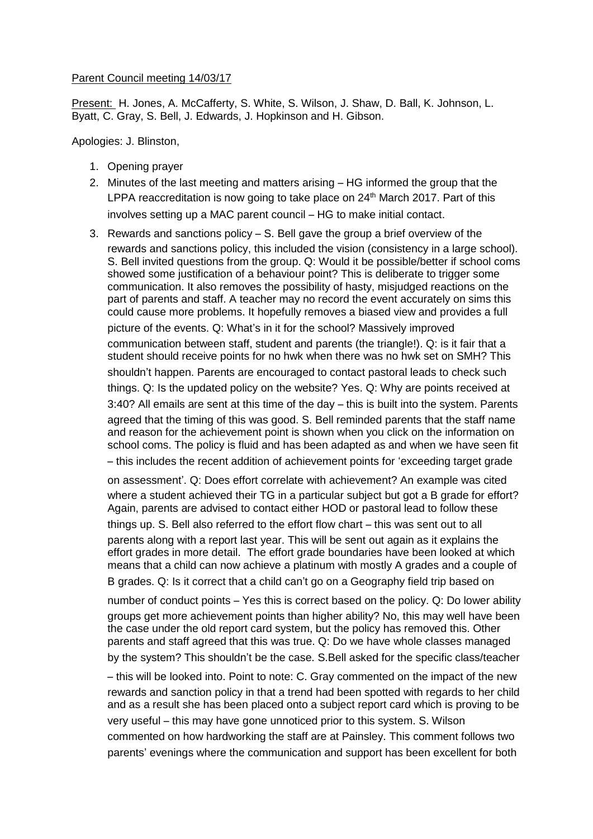## Parent Council meeting 14/03/17

Present: H. Jones, A. McCafferty, S. White, S. Wilson, J. Shaw, D. Ball, K. Johnson, L. Byatt, C. Gray, S. Bell, J. Edwards, J. Hopkinson and H. Gibson.

Apologies: J. Blinston,

- 1. Opening prayer
- 2. Minutes of the last meeting and matters arising HG informed the group that the LPPA reaccreditation is now going to take place on  $24<sup>th</sup>$  March 2017. Part of this involves setting up a MAC parent council – HG to make initial contact.
- 3. Rewards and sanctions policy S. Bell gave the group a brief overview of the rewards and sanctions policy, this included the vision (consistency in a large school). S. Bell invited questions from the group. Q: Would it be possible/better if school coms showed some justification of a behaviour point? This is deliberate to trigger some communication. It also removes the possibility of hasty, misjudged reactions on the part of parents and staff. A teacher may no record the event accurately on sims this could cause more problems. It hopefully removes a biased view and provides a full picture of the events. Q: What's in it for the school? Massively improved communication between staff, student and parents (the triangle!). Q: is it fair that a student should receive points for no hwk when there was no hwk set on SMH? This shouldn't happen. Parents are encouraged to contact pastoral leads to check such things. Q: Is the updated policy on the website? Yes. Q: Why are points received at 3:40? All emails are sent at this time of the day – this is built into the system. Parents agreed that the timing of this was good. S. Bell reminded parents that the staff name and reason for the achievement point is shown when you click on the information on school coms. The policy is fluid and has been adapted as and when we have seen fit – this includes the recent addition of achievement points for 'exceeding target grade on assessment'. Q: Does effort correlate with achievement? An example was cited where a student achieved their TG in a particular subject but got a B grade for effort? Again, parents are advised to contact either HOD or pastoral lead to follow these things up. S. Bell also referred to the effort flow chart – this was sent out to all parents along with a report last year. This will be sent out again as it explains the effort grades in more detail. The effort grade boundaries have been looked at which means that a child can now achieve a platinum with mostly A grades and a couple of
	- B grades. Q: Is it correct that a child can't go on a Geography field trip based on

number of conduct points – Yes this is correct based on the policy. Q: Do lower ability groups get more achievement points than higher ability? No, this may well have been the case under the old report card system, but the policy has removed this. Other parents and staff agreed that this was true. Q: Do we have whole classes managed by the system? This shouldn't be the case. S.Bell asked for the specific class/teacher

– this will be looked into. Point to note: C. Gray commented on the impact of the new rewards and sanction policy in that a trend had been spotted with regards to her child and as a result she has been placed onto a subject report card which is proving to be very useful – this may have gone unnoticed prior to this system. S. Wilson commented on how hardworking the staff are at Painsley. This comment follows two parents' evenings where the communication and support has been excellent for both